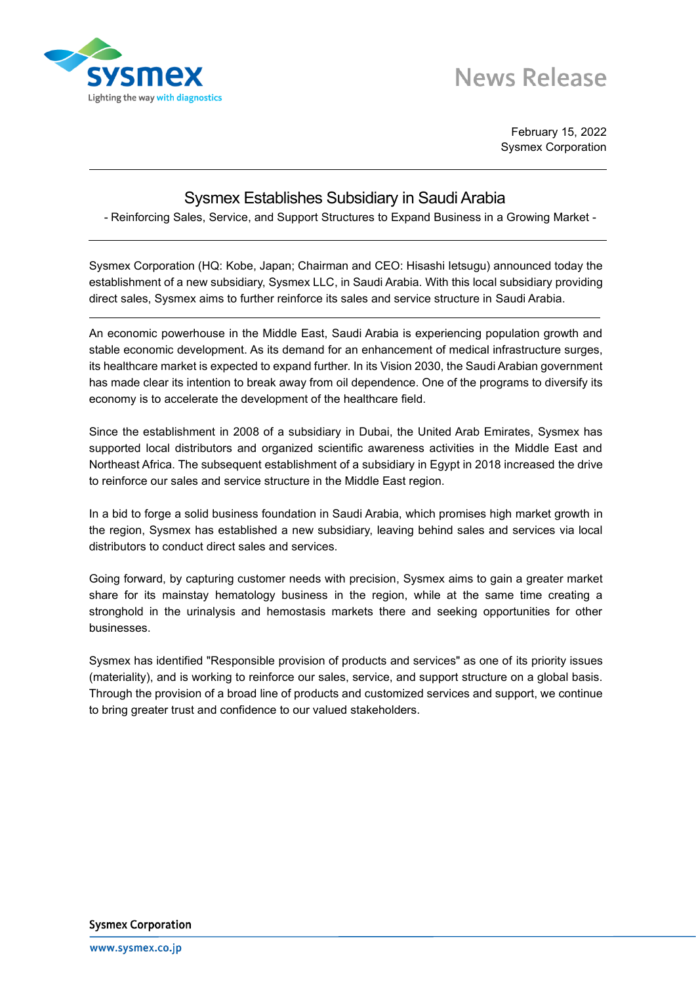

## **News Release**

February 15, 2022 Sysmex Corporation

## Sysmex Establishes Subsidiary in Saudi Arabia

- Reinforcing Sales, Service, and Support Structures to Expand Business in a Growing Market -

Sysmex Corporation (HQ: Kobe, Japan; Chairman and CEO: Hisashi Ietsugu) announced today the establishment of a new subsidiary, Sysmex LLC, in Saudi Arabia. With this local subsidiary providing direct sales, Sysmex aims to further reinforce its sales and service structure in Saudi Arabia.

An economic powerhouse in the Middle East, Saudi Arabia is experiencing population growth and stable economic development. As its demand for an enhancement of medical infrastructure surges, its healthcare market is expected to expand further. In its Vision 2030, the Saudi Arabian government has made clear its intention to break away from oil dependence. One of the programs to diversify its economy is to accelerate the development of the healthcare field.

Since the establishment in 2008 of a subsidiary in Dubai, the United Arab Emirates, Sysmex has supported local distributors and organized scientific awareness activities in the Middle East and Northeast Africa. The subsequent establishment of a subsidiary in Egypt in 2018 increased the drive to reinforce our sales and service structure in the Middle East region.

In a bid to forge a solid business foundation in Saudi Arabia, which promises high market growth in the region, Sysmex has established a new subsidiary, leaving behind sales and services via local distributors to conduct direct sales and services.

Going forward, by capturing customer needs with precision, Sysmex aims to gain a greater market share for its mainstay hematology business in the region, while at the same time creating a stronghold in the urinalysis and hemostasis markets there and seeking opportunities for other businesses.

Sysmex has identified "Responsible provision of products and services" as one of its priority issues (materiality), and is working to reinforce our sales, service, and support structure on a global basis. Through the provision of a broad line of products and customized services and support, we continue to bring greater trust and confidence to our valued stakeholders.